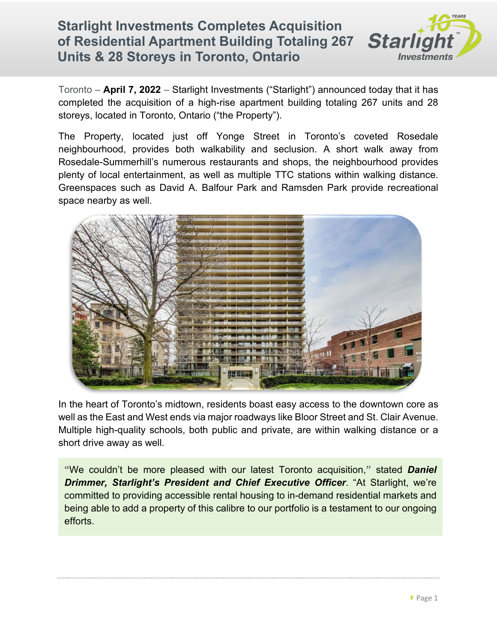## **Starlight Investments Completes Acquisition of Residential Apartment Building Totaling 267 Units & 28 Storeys in Toronto, Ontario**



Toronto – **April 7, 2022** – Starlight Investments ("Starlight") announced today that it has completed the acquisition of a high-rise apartment building totaling 267 units and 28 storeys, located in Toronto, Ontario ("the Property").

The Property, located just off Yonge Street in Toronto's coveted Rosedale neighbourhood, provides both walkability and seclusion. A short walk away from Rosedale-Summerhill's numerous restaurants and shops, the neighbourhood provides plenty of local entertainment, as well as multiple TTC stations within walking distance. Greenspaces such as David A. Balfour Park and Ramsden Park provide recreational space nearby as well.



In the heart of Toronto's midtown, residents boast easy access to the downtown core as well as the East and West ends via major roadways like Bloor Street and St. Clair Avenue. Multiple high-quality schools, both public and private, are within walking distance or a short drive away as well.

**"**We couldn't be more pleased with our latest Toronto acquisition,**"** stated *Daniel Drimmer, Starlight's President and Chief Executive Officer*. "At Starlight, we're committed to providing accessible rental housing to in-demand residential markets and being able to add a property of this calibre to our portfolio is a testament to our ongoing efforts.